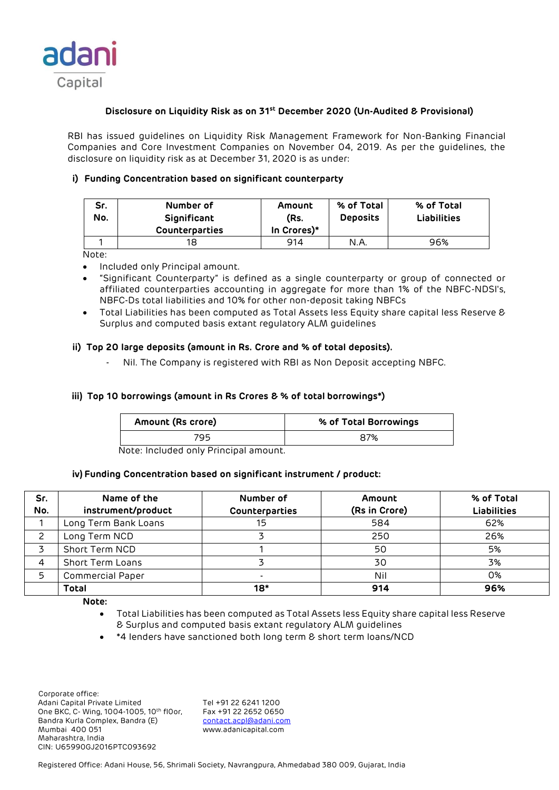

## **Disclosure on Liquidity Risk as on 31st December 2020 (Un-Audited & Provisional)**

RBI has issued guidelines on Liquidity Risk Management Framework for Non-Banking Financial Companies and Core Investment Companies on November 04, 2019. As per the guidelines, the disclosure on liquidity risk as at December 31, 2020 is as under:

# **i) Funding Concentration based on significant counterparty**

| Sr.<br>No. | Number of<br>Significant<br><b>Counterparties</b> | Amount<br>(Rs.<br>In Crores)* | % of Total<br><b>Deposits</b> | % of Total<br><b>Liabilities</b> |
|------------|---------------------------------------------------|-------------------------------|-------------------------------|----------------------------------|
|            | 18                                                | 914                           | N.A                           | 96%                              |

Note:

- Included only Principal amount.
- "Significant Counterparty" is defined as a single counterparty or group of connected or affiliated counterparties accounting in aggregate for more than 1% of the NBFC-NDSI's, NBFC-Ds total liabilities and 10% for other non-deposit taking NBFCs
- Total Liabilities has been computed as Total Assets less Equity share capital less Reserve & Surplus and computed basis extant regulatory ALM guidelines

## **ii) Top 20 large deposits (amount in Rs. Crore and % of total deposits).**

Nil. The Company is registered with RBI as Non Deposit accepting NBFC.

## **iii) Top 10 borrowings (amount in Rs Crores & % of total borrowings\*)**

| Amount (Rs crore) | % of Total Borrowings |
|-------------------|-----------------------|
| 795               | 87%                   |

Note: Included only Principal amount.

## **iv) Funding Concentration based on significant instrument / product:**

| Sr.<br>No. | Name of the<br>instrument/product | Number of<br>Counterparties | Amount<br>(Rs in Crore) | % of Total<br><b>Liabilities</b> |
|------------|-----------------------------------|-----------------------------|-------------------------|----------------------------------|
|            | Long Term Bank Loans              | 15                          | 584                     | 62%                              |
|            | Long Term NCD                     |                             | 250                     | 26%                              |
|            | Short Term NCD                    |                             | 50                      | 5%                               |
|            | <b>Short Term Loans</b>           |                             | 30                      | 3%                               |
| 5          | <b>Commercial Paper</b>           |                             | Nil                     | 0%                               |
|            | <b>Total</b>                      | $18*$                       | 914                     | 96%                              |

**Note:** 

- Total Liabilities has been computed as Total Assets less Equity share capital less Reserve & Surplus and computed basis extant regulatory ALM guidelines
- \*4 lenders have sanctioned both long term & short term loans/NCD

 Corporate office: Adani Capital Private Limited Tel +91 22 6241 1200<br>One BKC, C- Wing, 1004-1005, 10th flOor, Fax +91 22 2652 0650 One BKC, C- Wing, 1004-1005, 10th fl0or, Bandra Kurla Complex, Bandra (E) [contact.acpl@adani.com](mailto:contact.acpl@adani.com) Mumbai 400 051 www.adanicapital.com Maharashtra, India CIN: U65990GJ2016PTC093692